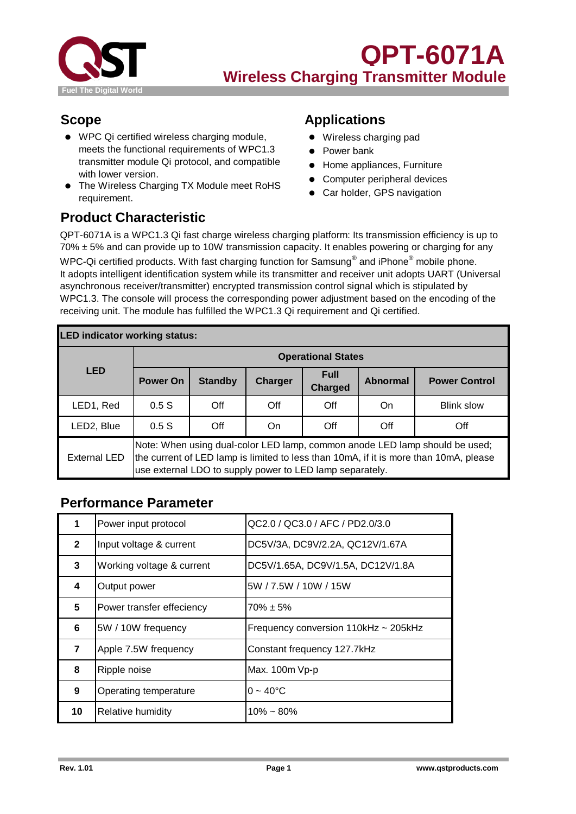

- WPC Qi certified wireless charging module, meets the functional requirements of WPC1.3 transmitter module Qi protocol, and compatible with lower version.
- The Wireless Charging TX Module meet RoHS The Wildless onlinging 12 model incorrections ● Car holder, GPS navigation requirement.

#### **Scope Applications**

- Wireless charging pad
- Power bank
- Home appliances, Furniture
- Computer peripheral devices
- 

# **Product Characteristic**

QPT-6071A is a WPC1.3 Qi fast charge wireless charging platform: Its transmission efficiency is up to  $70\% \pm 5\%$  and can provide up to 10W transmission capacity. It enables powering or charging for any WPC-Qi certified products. With fast charging function for Samsung $^\circ$  and iPhone $^\circ$  mobile phone. It adopts intelligent identification system while its transmitter and receiver unit adopts UART (Universal asynchronous receiver/transmitter) encrypted transmission control signal which is stipulated by WPC1.3. The console will process the corresponding power adjustment based on the encoding of the receiving unit. The module has fulfilled the WPC1.3 Qi requirement and Qi certified.

| <b>LED indicator working status:</b> |                                                                                                                                                                                                                                  |                |                |                               |                 |                      |  |
|--------------------------------------|----------------------------------------------------------------------------------------------------------------------------------------------------------------------------------------------------------------------------------|----------------|----------------|-------------------------------|-----------------|----------------------|--|
|                                      | <b>Operational States</b>                                                                                                                                                                                                        |                |                |                               |                 |                      |  |
| <b>LED</b>                           | Power On                                                                                                                                                                                                                         | <b>Standby</b> | <b>Charger</b> | <b>Full</b><br><b>Charged</b> | <b>Abnormal</b> | <b>Power Control</b> |  |
| LED1, Red                            | 0.5S                                                                                                                                                                                                                             | Off            | Off            | Off                           | On              | <b>Blink slow</b>    |  |
| LED2, Blue                           | 0.5S                                                                                                                                                                                                                             | Off            | On.            | Off                           | Off             | Off                  |  |
| <b>External LED</b>                  | Note: When using dual-color LED lamp, common anode LED lamp should be used;<br>the current of LED lamp is limited to less than 10mA, if it is more than 10mA, please<br>use external LDO to supply power to LED lamp separately. |                |                |                               |                 |                      |  |

### **Performance Parameter**

| 1              | Power input protocol      | QC2.0 / QC3.0 / AFC / PD2.0/3.0      |
|----------------|---------------------------|--------------------------------------|
| $\mathbf{2}$   | Input voltage & current   | DC5V/3A, DC9V/2.2A, QC12V/1.67A      |
| 3              | Working voltage & current | DC5V/1.65A, DC9V/1.5A, DC12V/1.8A    |
| 4              | Output power              | 5W / 7.5W / 10W / 15W                |
| 5              | Power transfer effeciency | $70\% \pm 5\%$                       |
| 6              | 5W / 10W frequency        | Frequency conversion 110kHz ~ 205kHz |
| $\overline{7}$ | Apple 7.5W frequency      | Constant frequency 127.7kHz          |
| 8              | Ripple noise              | Max. 100m Vp-p                       |
| 9              | Operating temperature     | $0 - 40^{\circ}C$                    |
| 10             | <b>Relative humidity</b>  | $10\% \sim 80\%$                     |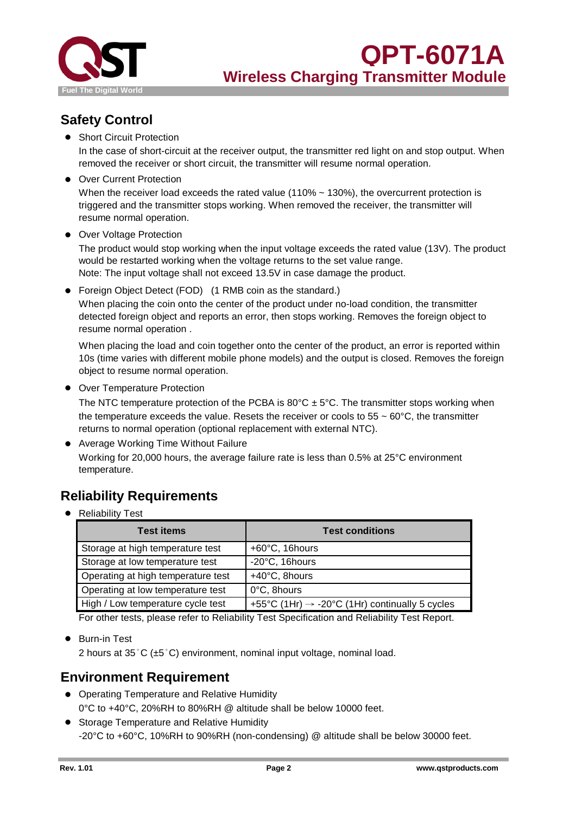

# **Safety Control**

● Short Circuit Protection

In the case of short-circuit at the receiver output, the transmitter red light on and stop output. When removed the receiver or short circuit, the transmitter will resume normal operation.

● Over Current Protection

When the receiver load exceeds the rated value (110%  $\sim$  130%), the overcurrent protection is triggered and the transmitter stops working. When removed the receiver, the transmitter will resume normal operation.

● Over Voltage Protection

The product would stop working when the input voltage exceeds the rated value (13V). The product would be restarted working when the voltage returns to the set value range. Note: The input voltage shall not exceed 13.5V in case damage the product.

When placing the coin onto the center of the product under no-load condition, the transmitter detected foreign object and reports an error, then stops working. Removes the foreign object to resume normal operation . ● Foreign Object Detect (FOD) (1 RMB coin as the standard.)

When placing the load and coin together onto the center of the product, an error is reported within 10s (time varies with different mobile phone models) and the output is closed. Removes the foreign object to resume normal operation.

● Over Temperature Protection

The NTC temperature protection of the PCBA is  $80^{\circ}$ C  $\pm$  5°C. The transmitter stops working when the temperature exceeds the value. Resets the receiver or cools to  $55 \sim 60^{\circ}$ C, the transmitter returns to normal operation (optional replacement with external NTC).

● Average Working Time Without Failure Working for 20,000 hours, the average failure rate is less than 0.5% at 25°C environment temperature.

# **Reliability Requirements**

● Reliability Test

| <b>Test items</b>                  | <b>Test conditions</b>                                     |
|------------------------------------|------------------------------------------------------------|
| Storage at high temperature test   | +60°C, 16hours                                             |
| Storage at low temperature test    | -20°C, 16hours                                             |
| Operating at high temperature test | +40°C, 8hours                                              |
| Operating at low temperature test  | 0°C, 8hours                                                |
| High / Low temperature cycle test  | +55°C (1Hr) $\rightarrow$ -20°C (1Hr) continually 5 cycles |

For other tests, please refer to Reliability Test Specification and Reliability Test Report.

● Burn-in Test

2 hours at 35°C (±5°C) environment, nominal input voltage, nominal load.

### **Environment Requirement**

- Operating Temperature and Relative Humidity 0°C to +40°C, 20%RH to 80%RH @ altitude shall be below 10000 feet.
- Storage Temperature and Relative Humidity -20°C to +60°C, 10%RH to 90%RH (non-condensing) @ altitude shall be below 30000 feet.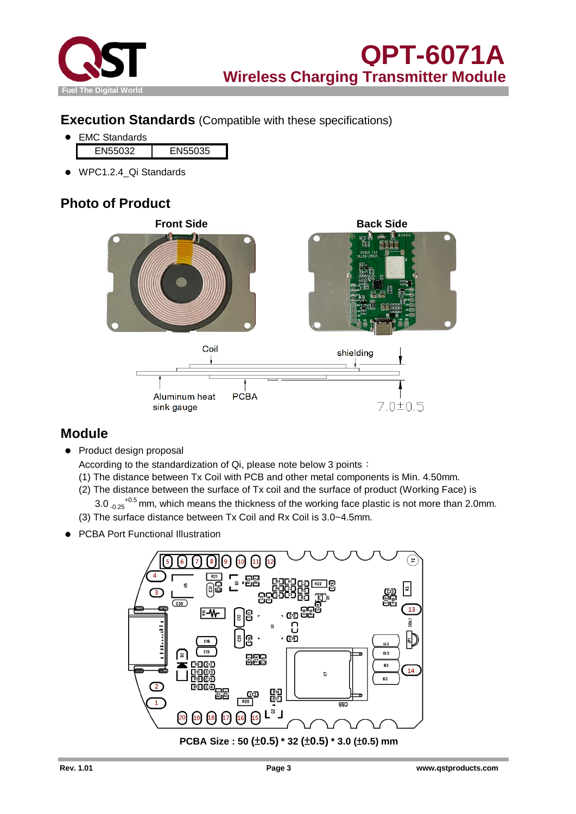

#### **Execution Standards** (Compatible with these specifications)

- EN55032 EN55035 ● EMC Standards
- WPC1.2.4\_Qi Standards

# **Photo of Product**



#### **Module**

● Product design proposal

According to the standardization of Qi, please note below 3 points:

- (1) The distance between Tx Coil with PCB and other metal components is Min. 4.50mm.
- (2) The distance between the surface of Tx coil and the surface of product (Working Face) is  $3.0_{-0.25}$ <sup>+0.5</sup> mm, which means the thickness of the working face plastic is not more than 2.0mm.
- (3) The surface distance between Tx Coil and Rx Coil is 3.0~4.5mm.
- **PCBA Port Functional Illustration**

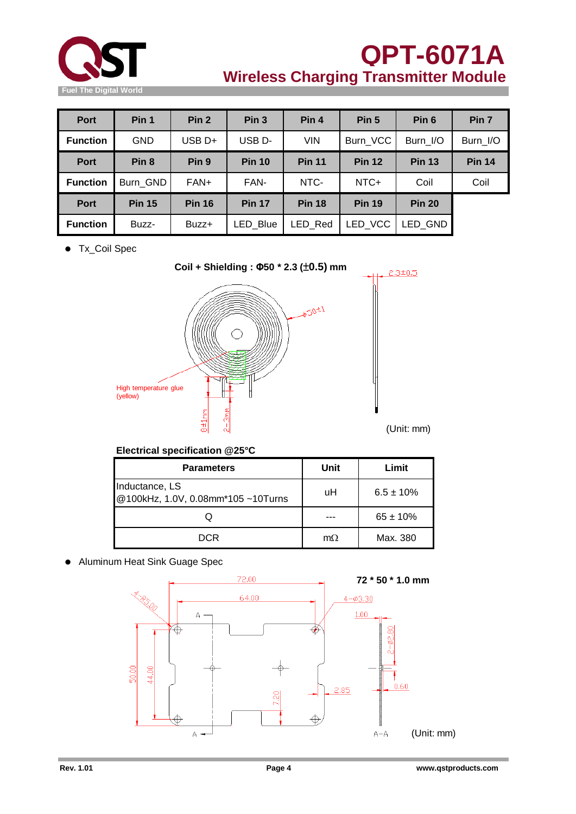

# **QPT-6071A Wireless Charging Transmitter Module**

| <b>Port</b>     | Pin 1            | Pin <sub>2</sub> | Pin <sub>3</sub>   | Pin 4         | Pin <sub>5</sub> | Pin <sub>6</sub> | Pin <sub>7</sub> |
|-----------------|------------------|------------------|--------------------|---------------|------------------|------------------|------------------|
| <b>Function</b> | <b>GND</b>       | $USB D+$         | USB <sub>D</sub> - | <b>VIN</b>    | Burn VCC         | Burn I/O         | Burn I/O         |
| <b>Port</b>     | Pin <sub>8</sub> | Pin <sub>9</sub> | <b>Pin 10</b>      | <b>Pin 11</b> | <b>Pin 12</b>    | <b>Pin 13</b>    | <b>Pin 14</b>    |
| <b>Function</b> | Burn GND         | FAN+             | FAN-               | NTC-          | NTC+             | Coil             | Coil             |
| Port            | <b>Pin 15</b>    | <b>Pin 16</b>    | <b>Pin 17</b>      | <b>Pin 18</b> | <b>Pin 19</b>    | <b>Pin 20</b>    |                  |
| <b>Function</b> | Buzz-            | Buzz+            | LED Blue           | LED Red       | LED VCC          | LED GND          |                  |

● Tx\_Coil Spec



**Electrical specification @25°C**

| <b>Parameters</b>                                    | Unit      | Limit          |  |
|------------------------------------------------------|-----------|----------------|--|
| Inductance, LS<br>@100kHz, 1.0V, 0.08mm*105 ~10Turns | uH        | $6.5 \pm 10\%$ |  |
|                                                      |           | $65 \pm 10\%$  |  |
| DCR                                                  | $m\Omega$ | Max. 380       |  |

● Aluminum Heat Sink Guage Spec